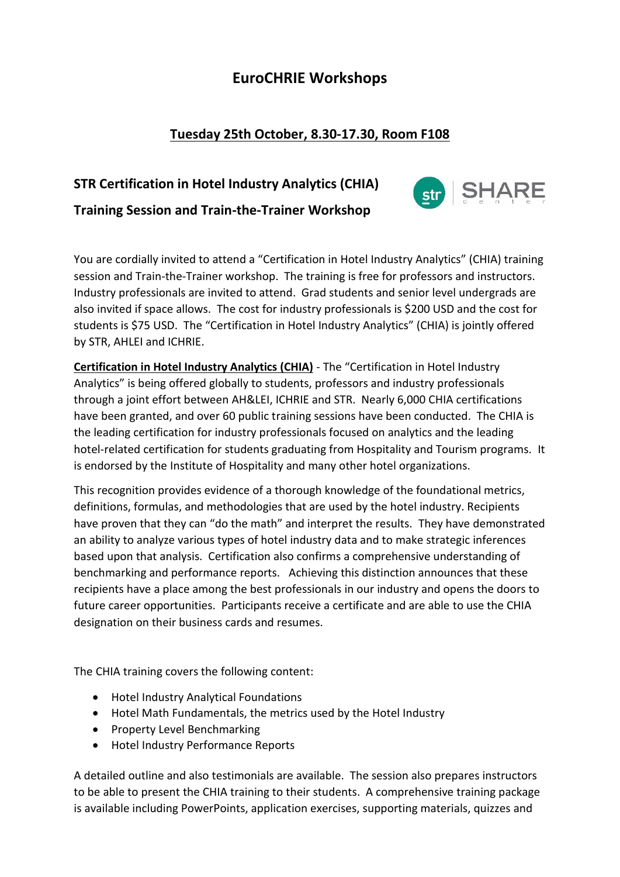## **EuroCHRIE Workshops**

## **Tuesday 25th October, 8.30-17.30, Room F108**

# **STR Certification in Hotel Industry Analytics (CHIA) Training Session and Train-the-Trainer Workshop**



You are cordially invited to attend a "Certification in Hotel Industry Analytics" (CHIA) training session and Train-the-Trainer workshop. The training is free for professors and instructors. Industry professionals are invited to attend. Grad students and senior level undergrads are also invited if space allows. The cost for industry professionals is \$200 USD and the cost for students is \$75 USD. The "Certification in Hotel Industry Analytics" (CHIA) is jointly offered by STR, AHLEI and ICHRIE.

**Certification in Hotel Industry Analytics (CHIA)** - The "Certification in Hotel Industry Analytics" is being offered globally to students, professors and industry professionals through a joint effort between AH&LEI, ICHRIE and STR. Nearly 6,000 CHIA certifications have been granted, and over 60 public training sessions have been conducted. The CHIA is the leading certification for industry professionals focused on analytics and the leading hotel-related certification for students graduating from Hospitality and Tourism programs. It is endorsed by the Institute of Hospitality and many other hotel organizations.

This recognition provides evidence of a thorough knowledge of the foundational metrics, definitions, formulas, and methodologies that are used by the hotel industry. Recipients have proven that they can "do the math" and interpret the results. They have demonstrated an ability to analyze various types of hotel industry data and to make strategic inferences based upon that analysis. Certification also confirms a comprehensive understanding of benchmarking and performance reports. Achieving this distinction announces that these recipients have a place among the best professionals in our industry and opens the doors to future career opportunities. Participants receive a certificate and are able to use the CHIA designation on their business cards and resumes.

The CHIA training covers the following content:

- Hotel Industry Analytical Foundations
- Hotel Math Fundamentals, the metrics used by the Hotel Industry
- Property Level Benchmarking
- Hotel Industry Performance Reports

A detailed outline and also testimonials are available. The session also prepares instructors to be able to present the CHIA training to their students. A comprehensive training package is available including PowerPoints, application exercises, supporting materials, quizzes and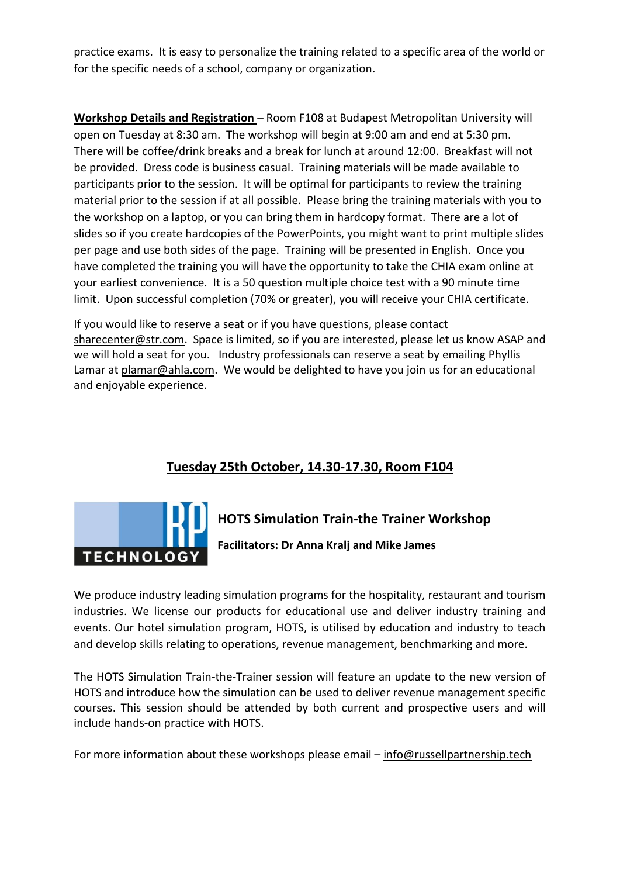practice exams. It is easy to personalize the training related to a specific area of the world or for the specific needs of a school, company or organization.

**Workshop Details and Registration** – Room F108 at Budapest Metropolitan University will open on Tuesday at 8:30 am. The workshop will begin at 9:00 am and end at 5:30 pm. There will be coffee/drink breaks and a break for lunch at around 12:00. Breakfast will not be provided. Dress code is business casual. Training materials will be made available to participants prior to the session. It will be optimal for participants to review the training material prior to the session if at all possible. Please bring the training materials with you to the workshop on a laptop, or you can bring them in hardcopy format. There are a lot of slides so if you create hardcopies of the PowerPoints, you might want to print multiple slides per page and use both sides of the page. Training will be presented in English. Once you have completed the training you will have the opportunity to take the CHIA exam online at your earliest convenience. It is a 50 question multiple choice test with a 90 minute time limit. Upon successful completion (70% or greater), you will receive your CHIA certificate.

If you would like to reserve a seat or if you have questions, please contact [sharecenter@str.com.](mailto:sharecenter@str.com) Space is limited, so if you are interested, please let us know ASAP and we will hold a seat for you. Industry professionals can reserve a seat by emailing Phyllis Lamar at [plamar@ahla.com.](mailto:plamar@ahla.com) We would be delighted to have you join us for an educational and enjoyable experience.

## **Tuesday 25th October, 14.30-17.30, Room F104**



# **HOTS Simulation Train-the Trainer Workshop**

**Facilitators: Dr Anna Kralj and Mike James**

We produce industry leading simulation programs for the hospitality, restaurant and tourism industries. We license our products for educational use and deliver industry training and events. Our hotel simulation program, HOTS, is utilised by education and industry to teach and develop skills relating to operations, revenue management, benchmarking and more.

The HOTS Simulation Train-the-Trainer session will feature an update to the new version of HOTS and introduce how the simulation can be used to deliver revenue management specific courses. This session should be attended by both current and prospective users and will include hands-on practice with HOTS.

For more information about these workshops please email – [info@russellpartnership.tech](mailto:info@russellpartnership.tech)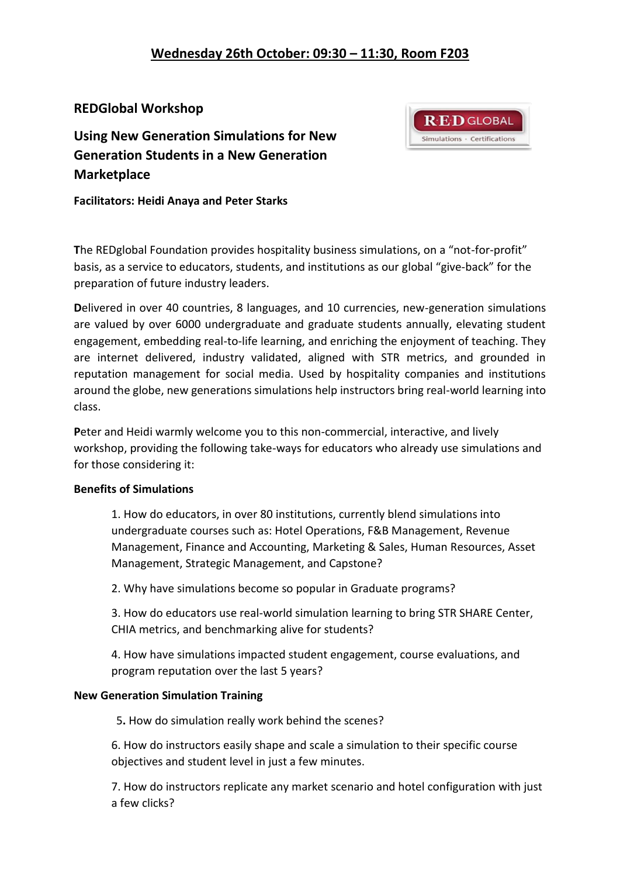**R.E.D GLOBAL** Simulations · Certifications

### **REDGlobal Workshop**

**Using New Generation Simulations for New Generation Students in a New Generation Marketplace**

**Facilitators: Heidi Anaya and Peter Starks**

**T**he REDglobal Foundation provides hospitality business simulations, on a "not-for-profit" basis, as a service to educators, students, and institutions as our global "give-back" for the preparation of future industry leaders.

**D**elivered in over 40 countries, 8 languages, and 10 currencies, new-generation simulations are valued by over 6000 undergraduate and graduate students annually, elevating student engagement, embedding real-to-life learning, and enriching the enjoyment of teaching. They are internet delivered, industry validated, aligned with STR metrics, and grounded in reputation management for social media. Used by hospitality companies and institutions around the globe, new generations simulations help instructors bring real-world learning into class.

**P**eter and Heidi warmly welcome you to this non-commercial, interactive, and lively workshop, providing the following take-ways for educators who already use simulations and for those considering it:

#### **Benefits of Simulations**

1. How do educators, in over 80 institutions, currently blend simulations into undergraduate courses such as: Hotel Operations, F&B Management, Revenue Management, Finance and Accounting, Marketing & Sales, Human Resources, Asset Management, Strategic Management, and Capstone?

2. Why have simulations become so popular in Graduate programs?

3. How do educators use real-world simulation learning to bring STR SHARE Center, CHIA metrics, and benchmarking alive for students?

4. How have simulations impacted student engagement, course evaluations, and program reputation over the last 5 years?

#### **New Generation Simulation Training**

5**.** How do simulation really work behind the scenes?

6. How do instructors easily shape and scale a simulation to their specific course objectives and student level in just a few minutes.

7. How do instructors replicate any market scenario and hotel configuration with just a few clicks?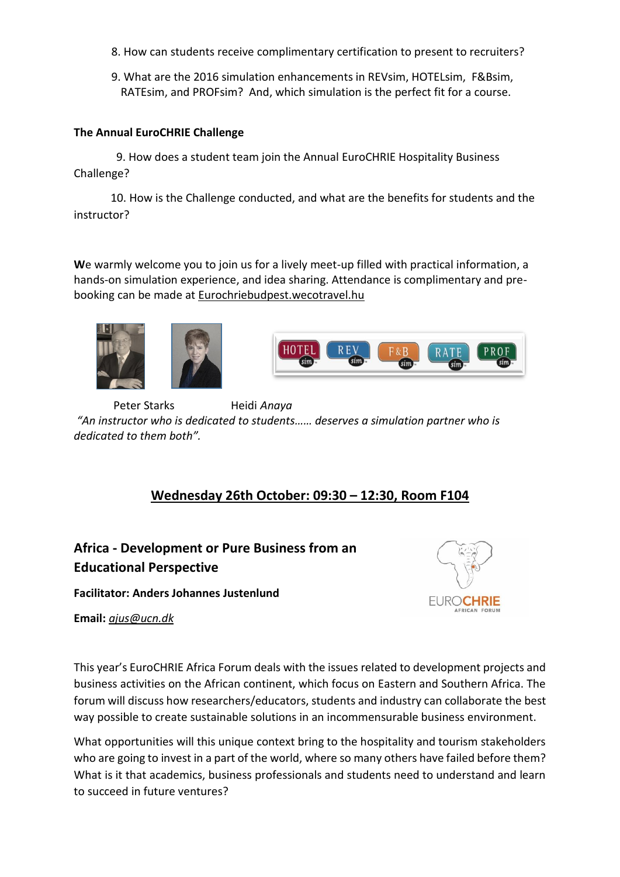- 8. How can students receive complimentary certification to present to recruiters?
- 9. What are the 2016 simulation enhancements in REVsim, HOTELsim, F&Bsim, RATEsim, and PROFsim? And, which simulation is the perfect fit for a course.

#### **The Annual EuroCHRIE Challenge**

9. How does a student team join the Annual EuroCHRIE Hospitality Business Challenge?

 10. How is the Challenge conducted, and what are the benefits for students and the instructor?

**W**e warmly welcome you to join us for a lively meet-up filled with practical information, a hands-on simulation experience, and idea sharing. Attendance is complimentary and prebooking can be made at Eurochriebudpest.wecotravel.hu





 Peter Starks Heidi *Anaya "An instructor who is dedicated to students…… deserves a simulation partner who is dedicated to them both".* 

### **Wednesday 26th October: 09:30 – 12:30, Room F104**

## **Africa - Development or Pure Business from an Educational Perspective**

**Facilitator: Anders Johannes Justenlund**

**Email:** *[ajus@ucn.dk](mailto:ajus@ucn.dk)*



This year's EuroCHRIE Africa Forum deals with the issues related to development projects and business activities on the African continent, which focus on Eastern and Southern Africa. The forum will discuss how researchers/educators, students and industry can collaborate the best way possible to create sustainable solutions in an incommensurable business environment.

What opportunities will this unique context bring to the hospitality and tourism stakeholders who are going to invest in a part of the world, where so many others have failed before them? What is it that academics, business professionals and students need to understand and learn to succeed in future ventures?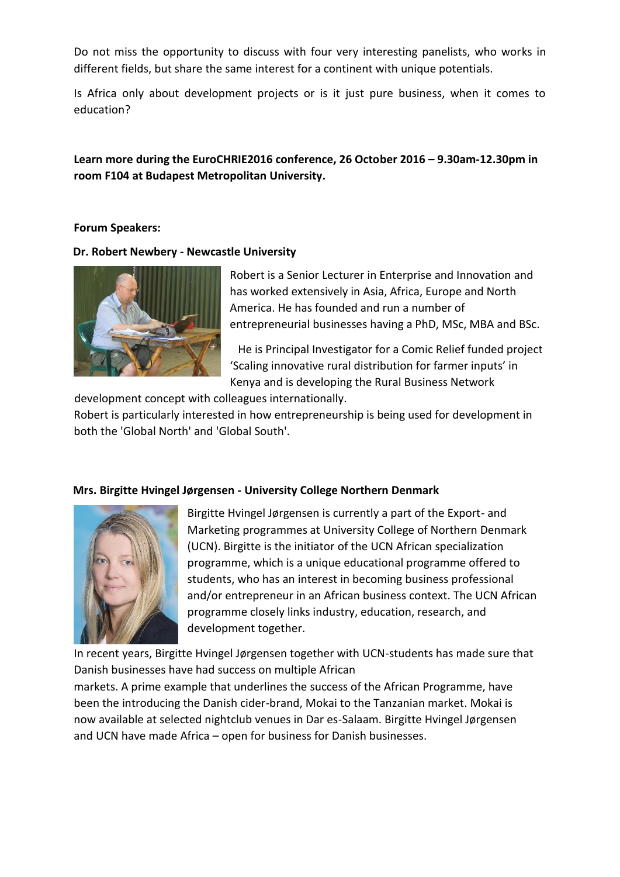Do not miss the opportunity to discuss with four very interesting panelists, who works in different fields, but share the same interest for a continent with unique potentials.

Is Africa only about development projects or is it just pure business, when it comes to education?

### **Learn more during the EuroCHRIE2016 conference, 26 October 2016 – 9.30am-12.30pm in room F104 at Budapest Metropolitan University.**

#### **Forum Speakers:**

**Dr. Robert Newbery - Newcastle University** 



Robert is a Senior Lecturer in Enterprise and Innovation and has worked extensively in Asia, Africa, Europe and North America. He has founded and run a number of entrepreneurial businesses having a PhD, MSc, MBA and BSc.

He is Principal Investigator for a Comic Relief funded project 'Scaling innovative rural distribution for farmer inputs' in Kenya and is developing the Rural Business Network

development concept with colleagues internationally.

Robert is particularly interested in how entrepreneurship is being used for development in both the 'Global North' and 'Global South'.

#### **Mrs. Birgitte Hvingel Jørgensen - University College Northern Denmark**



Birgitte Hvingel Jørgensen is currently a part of the Export- and Marketing programmes at University College of Northern Denmark (UCN). Birgitte is the initiator of the UCN African specialization programme, which is a unique educational programme offered to students, who has an interest in becoming business professional and/or entrepreneur in an African business context. The UCN African programme closely links industry, education, research, and development together.

In recent years, Birgitte Hvingel Jørgensen together with UCN-students has made sure that Danish businesses have had success on multiple African

markets. A prime example that underlines the success of the African Programme, have been the introducing the Danish cider-brand, Mokai to the Tanzanian market. Mokai is now available at selected nightclub venues in Dar es-Salaam. Birgitte Hvingel Jørgensen and UCN have made Africa – open for business for Danish businesses.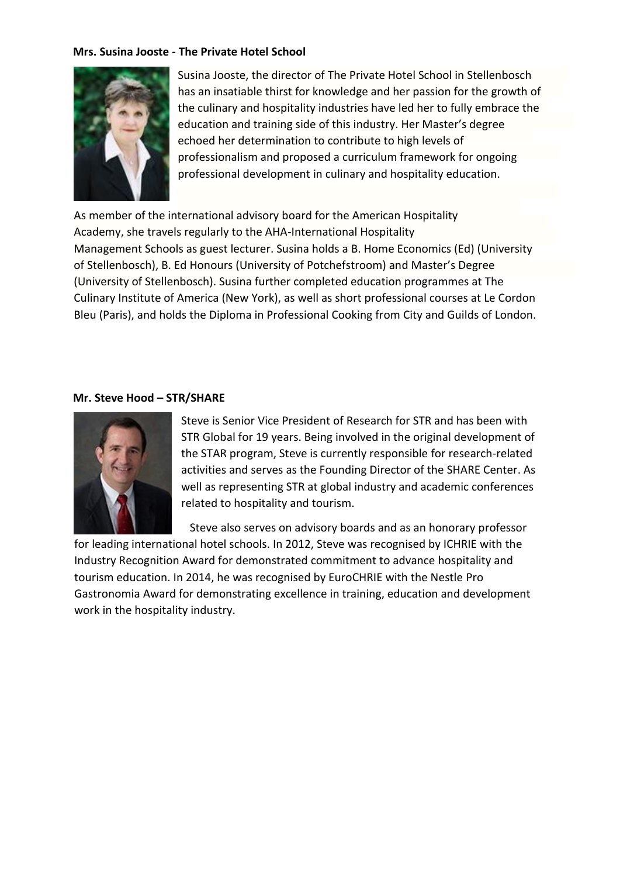#### **Mrs. Susina Jooste - The Private Hotel School**



Susina Jooste, the director of The Private Hotel School in Stellenbosch has an insatiable thirst for knowledge and her passion for the growth of the culinary and hospitality industries have led her to fully embrace the education and training side of this industry. Her Master's degree echoed her determination to contribute to high levels of professionalism and proposed a curriculum framework for ongoing professional development in culinary and hospitality education.

As member of the international advisory board for the American Hospitality Academy, she travels regularly to the AHA-International Hospitality Management Schools as guest lecturer. Susina holds a B. Home Economics (Ed) (University of Stellenbosch), B. Ed Honours (University of Potchefstroom) and Master's Degree (University of Stellenbosch). Susina further completed education programmes at The Culinary Institute of America (New York), as well as short professional courses at Le Cordon Bleu (Paris), and holds the Diploma in Professional Cooking from City and Guilds of London.

#### **Mr. Steve Hood – STR/SHARE**



Steve is Senior Vice President of Research for STR and has been with STR Global for 19 years. Being involved in the original development of the STAR program, Steve is currently responsible for research-related activities and serves as the Founding Director of the SHARE Center. As well as representing STR at global industry and academic conferences related to hospitality and tourism.

Steve also serves on advisory boards and as an honorary professor

for leading international hotel schools. In 2012, Steve was recognised by ICHRIE with the Industry Recognition Award for demonstrated commitment to advance hospitality and tourism education. In 2014, he was recognised by EuroCHRIE with the Nestle Pro Gastronomia Award for demonstrating excellence in training, education and development work in the hospitality industry.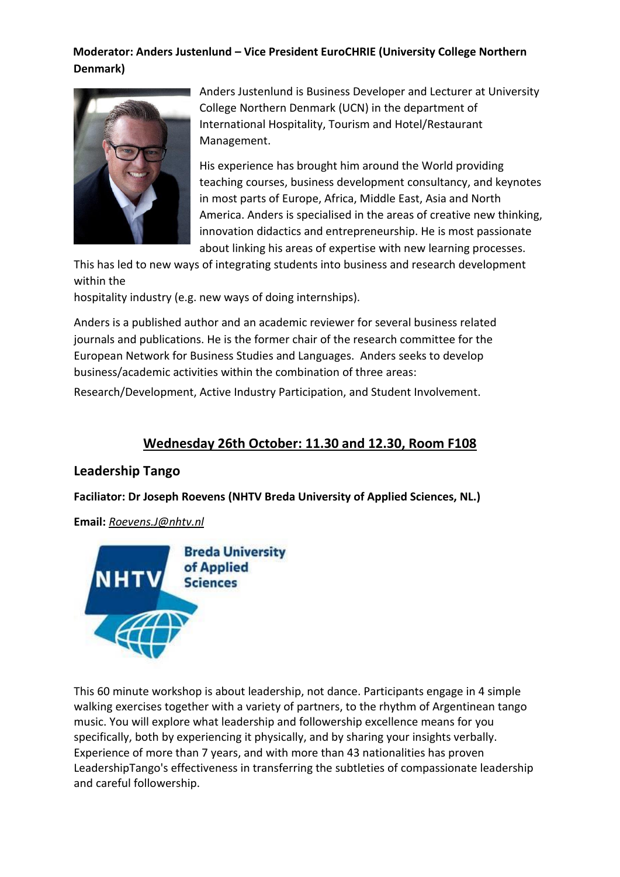### **Moderator: Anders Justenlund – Vice President EuroCHRIE (University College Northern Denmark)**



Anders Justenlund is Business Developer and Lecturer at University College Northern Denmark (UCN) in the department of International Hospitality, Tourism and Hotel/Restaurant Management.

His experience has brought him around the World providing teaching courses, business development consultancy, and keynotes in most parts of Europe, Africa, Middle East, Asia and North America. Anders is specialised in the areas of creative new thinking, innovation didactics and entrepreneurship. He is most passionate about linking his areas of expertise with new learning processes.

This has led to new ways of integrating students into business and research development within the

hospitality industry (e.g. new ways of doing internships).

Anders is a published author and an academic reviewer for several business related journals and publications. He is the former chair of the research committee for the European Network for Business Studies and Languages. Anders seeks to develop business/academic activities within the combination of three areas:

Research/Development, Active Industry Participation, and Student Involvement.

### **Wednesday 26th October: 11.30 and 12.30, Room F108**

### **Leadership Tango**

**Faciliator: Dr Joseph Roevens (NHTV Breda University of Applied Sciences, NL.)** 

#### **Email:** *[Roevens.J@nhtv.nl](mailto:Roevens.J@nhtv.nl)*



This 60 minute workshop is about leadership, not dance. Participants engage in 4 simple walking exercises together with a variety of partners, to the rhythm of Argentinean tango music. You will explore what leadership and followership excellence means for you specifically, both by experiencing it physically, and by sharing your insights verbally. Experience of more than 7 years, and with more than 43 nationalities has proven LeadershipTango's effectiveness in transferring the subtleties of compassionate leadership and careful followership.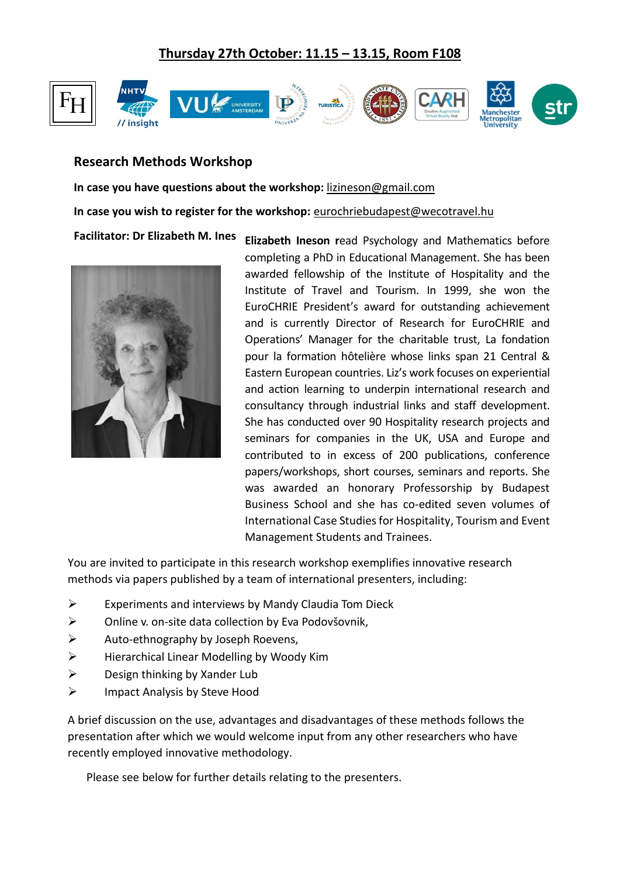## **Thursday 27th October: 11.15 – 13.15, Room F108**



### **Research Methods Workshop**

**In case you have questions about the workshop:** [lizineson@gmail.com](mailto:lizineson@gmail.com) **In case you wish to register for the workshop:** [eurochriebudapest@wecotravel.hu](mailto:eurochriebudapest@wecotravel.hu) **Facilitator: Dr Elizabeth M. Ines** 



**Elizabeth Ineson r**ead Psychology and Mathematics before completing a PhD in Educational Management. She has been awarded fellowship of the Institute of Hospitality and the Institute of Travel and Tourism. In 1999, she won the EuroCHRIE President's award for outstanding achievement and is currently Director of Research for EuroCHRIE and Operations' Manager for the charitable trust, La fondation pour la formation hôtelière whose links span 21 Central & Eastern European countries. Liz's work focuses on experiential and action learning to underpin international research and consultancy through industrial links and staff development. She has conducted over 90 Hospitality research projects and seminars for companies in the UK, USA and Europe and contributed to in excess of 200 publications, conference papers/workshops, short courses, seminars and reports. She was awarded an honorary Professorship by Budapest Business School and she has co-edited seven volumes of International Case Studies for Hospitality, Tourism and Event Management Students and Trainees.

You are invited to participate in this research workshop exemplifies innovative research methods via papers published by a team of international presenters, including:

- $\triangleright$  Experiments and interviews by Mandy Claudia Tom Dieck
- ▶ Online v. on-site data collection by Eva Podovšovnik,
- $\triangleright$  Auto-ethnography by Joseph Roevens,
- $\triangleright$  Hierarchical Linear Modelling by Woody Kim
- $\triangleright$  Design thinking by Xander Lub
- $\triangleright$  Impact Analysis by Steve Hood

A brief discussion on the use, advantages and disadvantages of these methods follows the presentation after which we would welcome input from any other researchers who have recently employed innovative methodology.

Please see below for further details relating to the presenters.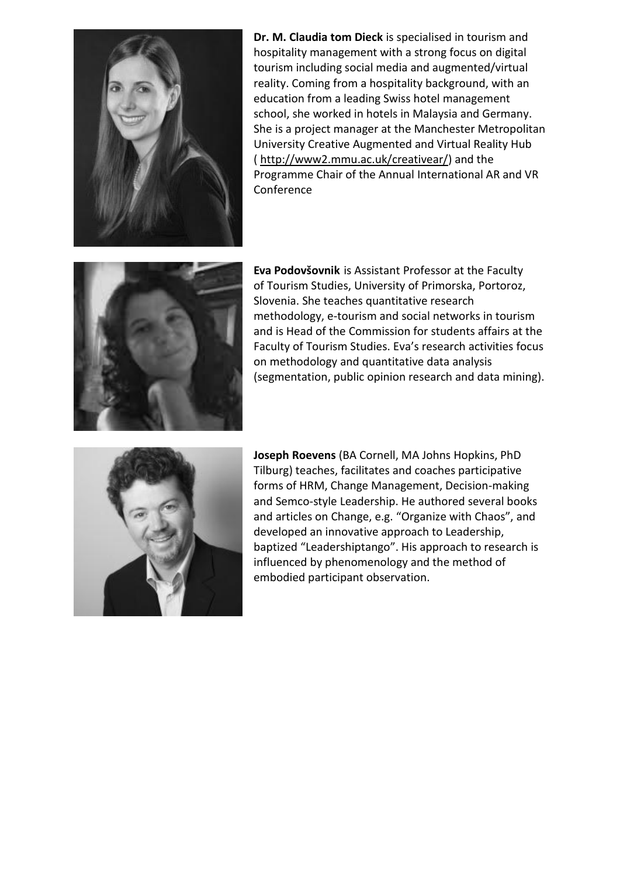

**Dr. M. Claudia tom Dieck** is specialised in tourism and hospitality management with a strong focus on digital tourism including social media and augmented/virtual reality. Coming from a hospitality background, with an education from a leading Swiss hotel management school, she worked in hotels in Malaysia and Germany. She is a project manager at the Manchester Metropolitan University Creative Augmented and Virtual Reality Hub ( [http://www2.mmu.ac.uk/creativear/\)](http://www2.mmu.ac.uk/creativear/) and the Programme Chair of the Annual International AR and VR Conference



**Eva Podovšovnik** is Assistant Professor at the Faculty of Tourism Studies, University of Primorska, Portoroz, Slovenia. She teaches quantitative research methodology, e-tourism and social networks in tourism and is Head of the Commission for students affairs at the Faculty of Tourism Studies. Eva's research activities focus on methodology and quantitative data analysis (segmentation, public opinion research and data mining).



**Joseph Roevens** (BA Cornell, MA Johns Hopkins, PhD Tilburg) teaches, facilitates and coaches participative forms of HRM, Change Management, Decision-making and Semco-style Leadership. He authored several books and articles on Change, e.g. "Organize with Chaos", and developed an innovative approach to Leadership, baptized "Leadershiptango". His approach to research is influenced by phenomenology and the method of embodied participant observation.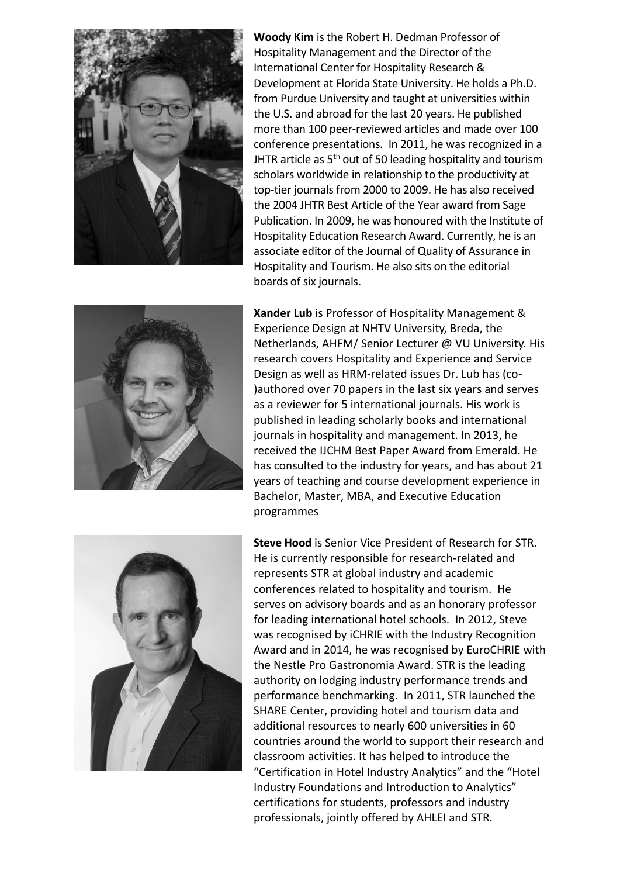![](_page_9_Picture_0.jpeg)

**Woody Kim** is the Robert H. Dedman Professor of Hospitality Management and the Director of the International Center for Hospitality Research & Development at Florida State University. He holds a Ph.D. from Purdue University and taught at universities within the U.S. and abroad for the last 20 years. He published more than 100 peer-reviewed articles and made over 100 conference presentations. In 2011, he was recognized in a JHTR article as  $5<sup>th</sup>$  out of 50 leading hospitality and tourism scholars worldwide in relationship to the productivity at top-tier journals from 2000 to 2009. He has also received the 2004 JHTR Best Article of the Year award from Sage Publication. In 2009, he was honoured with the Institute of Hospitality Education Research Award. Currently, he is an associate editor of the Journal of Quality of Assurance in Hospitality and Tourism. He also sits on the editorial boards of six journals.

![](_page_9_Picture_2.jpeg)

**Xander Lub** is Professor of Hospitality Management & Experience Design at NHTV University, Breda, the Netherlands, AHFM/ Senior Lecturer @ VU University. His research covers Hospitality and Experience and Service Design as well as HRM-related issues Dr. Lub has (co- )authored over 70 papers in the last six years and serves as a reviewer for 5 international journals. His work is published in leading scholarly books and international journals in hospitality and management. In 2013, he received the IJCHM Best Paper Award from Emerald. He has consulted to the industry for years, and has about 21 years of teaching and course development experience in Bachelor, Master, MBA, and Executive Education programmes

![](_page_9_Picture_4.jpeg)

**Steve Hood** is Senior Vice President of Research for STR. He is currently responsible for research-related and represents STR at global industry and academic conferences related to hospitality and tourism. He serves on advisory boards and as an honorary professor for leading international hotel schools. In 2012, Steve was recognised by iCHRIE with the Industry Recognition Award and in 2014, he was recognised by EuroCHRIE with the Nestle Pro Gastronomia Award. STR is the leading authority on lodging industry performance trends and performance benchmarking. In 2011, STR launched the SHARE Center, providing hotel and tourism data and additional resources to nearly 600 universities in 60 countries around the world to support their research and classroom activities. It has helped to introduce the "Certification in Hotel Industry Analytics" and the "Hotel Industry Foundations and Introduction to Analytics" certifications for students, professors and industry professionals, jointly offered by AHLEI and STR.